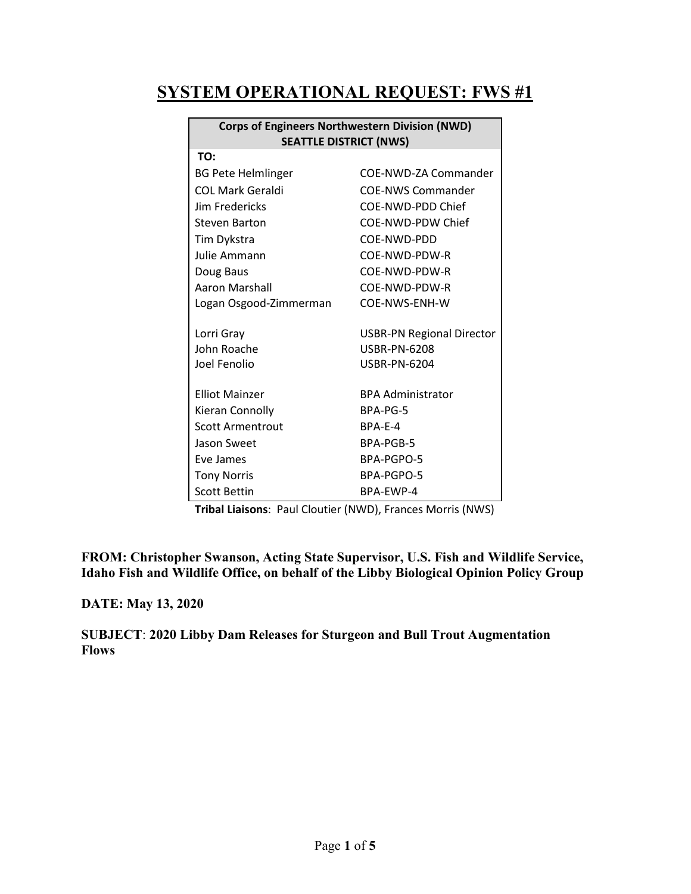## **SYSTEM OPERATIONAL REQUEST: FWS #1**

| <b>Corps of Engineers Northwestern Division (NWD)</b> |                                  |  |  |
|-------------------------------------------------------|----------------------------------|--|--|
| <b>SEATTLE DISTRICT (NWS)</b>                         |                                  |  |  |
| TO:                                                   |                                  |  |  |
| <b>BG Pete Helmlinger</b>                             | COE-NWD-ZA Commander             |  |  |
| COL Mark Geraldi                                      | <b>COE-NWS Commander</b>         |  |  |
| Jim Fredericks                                        | COE-NWD-PDD Chief                |  |  |
| Steven Barton                                         | COE-NWD-PDW Chief                |  |  |
| Tim Dykstra                                           | COE-NWD-PDD                      |  |  |
| Julie Ammann                                          | COE-NWD-PDW-R                    |  |  |
| Doug Baus                                             | COE-NWD-PDW-R                    |  |  |
| Aaron Marshall                                        | COE-NWD-PDW-R                    |  |  |
| Logan Osgood-Zimmerman                                | COE-NWS-ENH-W                    |  |  |
|                                                       |                                  |  |  |
| Lorri Gray                                            | <b>USBR-PN Regional Director</b> |  |  |
| John Roache                                           | USBR-PN-6208                     |  |  |
| Joel Fenolio                                          | <b>USBR-PN-6204</b>              |  |  |
|                                                       |                                  |  |  |
| <b>Elliot Mainzer</b>                                 | <b>BPA Administrator</b>         |  |  |
| Kieran Connolly                                       | BPA-PG-5                         |  |  |
| <b>Scott Armentrout</b>                               | BPA-E-4                          |  |  |
| Jason Sweet                                           | BPA-PGB-5                        |  |  |
| Eve James                                             | BPA-PGPO-5                       |  |  |
| <b>Tony Norris</b>                                    | BPA-PGPO-5                       |  |  |
| <b>Scott Bettin</b>                                   | BPA-FWP-4                        |  |  |

**Tribal Liaisons**: Paul Cloutier (NWD), Frances Morris (NWS)

**FROM: Christopher Swanson, Acting State Supervisor, U.S. Fish and Wildlife Service, Idaho Fish and Wildlife Office, on behalf of the Libby Biological Opinion Policy Group**

**DATE: May 13, 2020**

**SUBJECT**: **2020 Libby Dam Releases for Sturgeon and Bull Trout Augmentation Flows**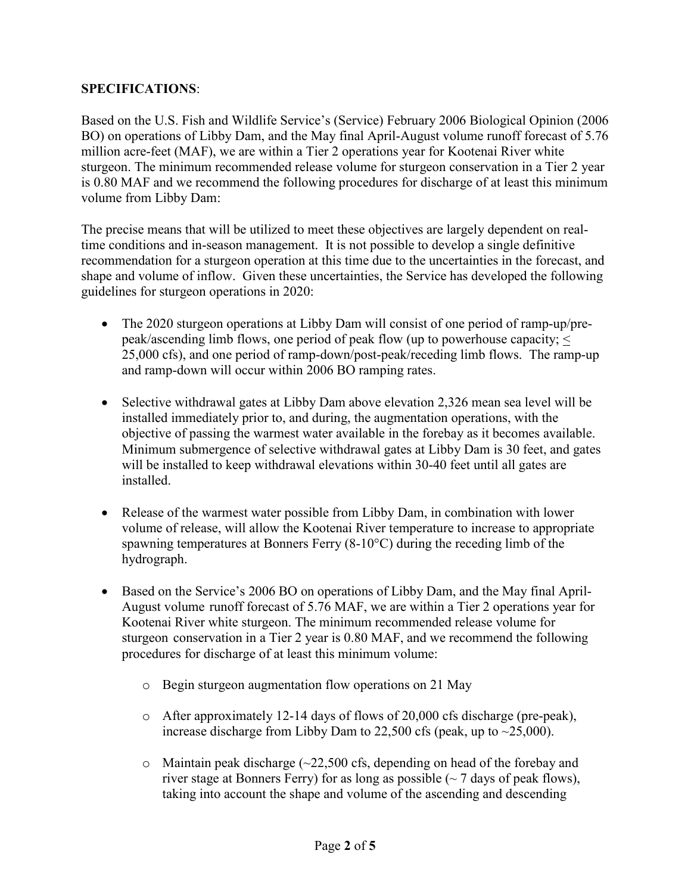## **SPECIFICATIONS**:

Based on the U.S. Fish and Wildlife Service's (Service) February 2006 Biological Opinion (2006 BO) on operations of Libby Dam, and the May final April-August volume runoff forecast of 5.76 million acre-feet (MAF), we are within a Tier 2 operations year for Kootenai River white sturgeon. The minimum recommended release volume for sturgeon conservation in a Tier 2 year is 0.80 MAF and we recommend the following procedures for discharge of at least this minimum volume from Libby Dam:

The precise means that will be utilized to meet these objectives are largely dependent on realtime conditions and in-season management. It is not possible to develop a single definitive recommendation for a sturgeon operation at this time due to the uncertainties in the forecast, and shape and volume of inflow. Given these uncertainties, the Service has developed the following guidelines for sturgeon operations in 2020:

- The 2020 sturgeon operations at Libby Dam will consist of one period of ramp-up/prepeak/ascending limb flows, one period of peak flow (up to powerhouse capacity; < 25,000 cfs), and one period of ramp-down/post-peak/receding limb flows. The ramp-up and ramp-down will occur within 2006 BO ramping rates.
- Selective withdrawal gates at Libby Dam above elevation 2,326 mean sea level will be installed immediately prior to, and during, the augmentation operations, with the objective of passing the warmest water available in the forebay as it becomes available. Minimum submergence of selective withdrawal gates at Libby Dam is 30 feet, and gates will be installed to keep withdrawal elevations within 30-40 feet until all gates are installed.
- Release of the warmest water possible from Libby Dam, in combination with lower volume of release, will allow the Kootenai River temperature to increase to appropriate spawning temperatures at Bonners Ferry (8-10°C) during the receding limb of the hydrograph.
- Based on the Service's 2006 BO on operations of Libby Dam, and the May final April-August volume runoff forecast of 5.76 MAF, we are within a Tier 2 operations year for Kootenai River white sturgeon. The minimum recommended release volume for sturgeon conservation in a Tier 2 year is 0.80 MAF, and we recommend the following procedures for discharge of at least this minimum volume:
	- o Begin sturgeon augmentation flow operations on 21 May
	- $\circ$  After approximately 12-14 days of flows of 20,000 cfs discharge (pre-peak), increase discharge from Libby Dam to  $22,500$  cfs (peak, up to  $\sim$  25,000).
	- $\circ$  Maintain peak discharge ( $\sim$ 22,500 cfs, depending on head of the forebay and river stage at Bonners Ferry) for as long as possible  $\sim$  7 days of peak flows), taking into account the shape and volume of the ascending and descending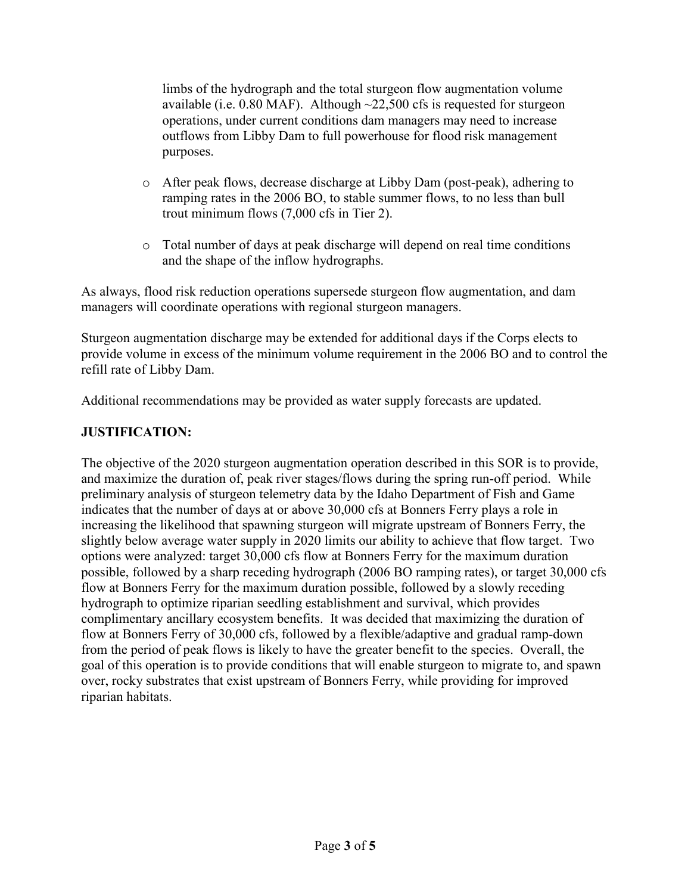limbs of the hydrograph and the total sturgeon flow augmentation volume available (i.e.  $0.80$  MAF). Although  $\sim$ 22,500 cfs is requested for sturgeon operations, under current conditions dam managers may need to increase outflows from Libby Dam to full powerhouse for flood risk management purposes.

- o After peak flows, decrease discharge at Libby Dam (post-peak), adhering to ramping rates in the 2006 BO, to stable summer flows, to no less than bull trout minimum flows (7,000 cfs in Tier 2).
- o Total number of days at peak discharge will depend on real time conditions and the shape of the inflow hydrographs.

As always, flood risk reduction operations supersede sturgeon flow augmentation, and dam managers will coordinate operations with regional sturgeon managers.

Sturgeon augmentation discharge may be extended for additional days if the Corps elects to provide volume in excess of the minimum volume requirement in the 2006 BO and to control the refill rate of Libby Dam.

Additional recommendations may be provided as water supply forecasts are updated.

## **JUSTIFICATION:**

The objective of the 2020 sturgeon augmentation operation described in this SOR is to provide, and maximize the duration of, peak river stages/flows during the spring run-off period. While preliminary analysis of sturgeon telemetry data by the Idaho Department of Fish and Game indicates that the number of days at or above 30,000 cfs at Bonners Ferry plays a role in increasing the likelihood that spawning sturgeon will migrate upstream of Bonners Ferry, the slightly below average water supply in 2020 limits our ability to achieve that flow target. Two options were analyzed: target 30,000 cfs flow at Bonners Ferry for the maximum duration possible, followed by a sharp receding hydrograph (2006 BO ramping rates), or target 30,000 cfs flow at Bonners Ferry for the maximum duration possible, followed by a slowly receding hydrograph to optimize riparian seedling establishment and survival, which provides complimentary ancillary ecosystem benefits. It was decided that maximizing the duration of flow at Bonners Ferry of 30,000 cfs, followed by a flexible/adaptive and gradual ramp-down from the period of peak flows is likely to have the greater benefit to the species. Overall, the goal of this operation is to provide conditions that will enable sturgeon to migrate to, and spawn over, rocky substrates that exist upstream of Bonners Ferry, while providing for improved riparian habitats.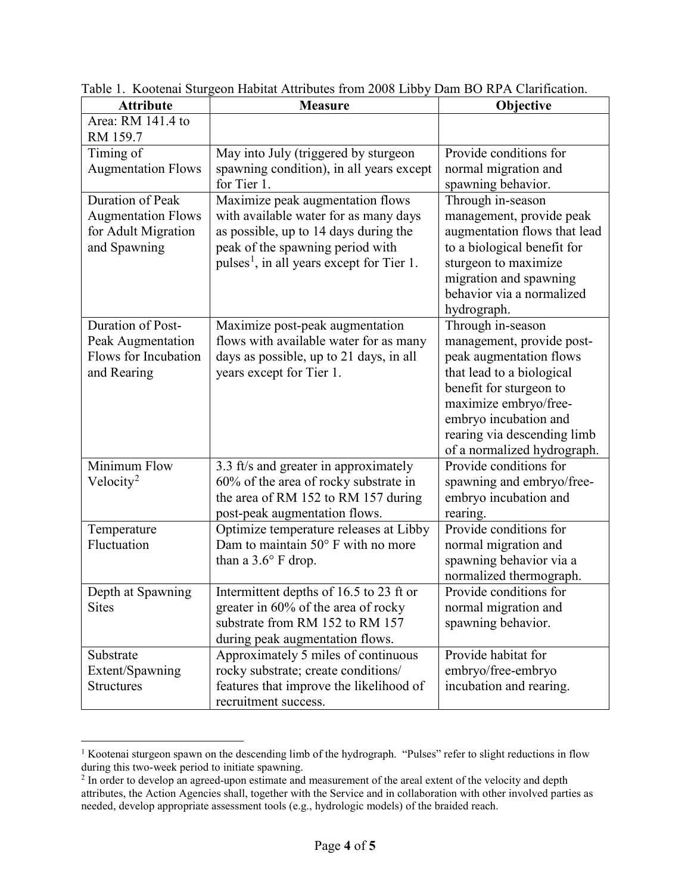| <b>Attribute</b>                                                                     | <b>Measure</b>                                                                                                                                                                                                                 | Objective                                                                                                                                                                                                                                         |
|--------------------------------------------------------------------------------------|--------------------------------------------------------------------------------------------------------------------------------------------------------------------------------------------------------------------------------|---------------------------------------------------------------------------------------------------------------------------------------------------------------------------------------------------------------------------------------------------|
| Area: RM 141.4 to                                                                    |                                                                                                                                                                                                                                |                                                                                                                                                                                                                                                   |
| RM 159.7<br>Timing of<br><b>Augmentation Flows</b>                                   | May into July (triggered by sturgeon<br>spawning condition), in all years except                                                                                                                                               | Provide conditions for<br>normal migration and                                                                                                                                                                                                    |
| Duration of Peak<br><b>Augmentation Flows</b><br>for Adult Migration<br>and Spawning | for Tier 1.<br>Maximize peak augmentation flows<br>with available water for as many days<br>as possible, up to 14 days during the<br>peak of the spawning period with<br>pulses <sup>1</sup> , in all years except for Tier 1. | spawning behavior.<br>Through in-season<br>management, provide peak<br>augmentation flows that lead<br>to a biological benefit for<br>sturgeon to maximize<br>migration and spawning<br>behavior via a normalized                                 |
|                                                                                      |                                                                                                                                                                                                                                | hydrograph.                                                                                                                                                                                                                                       |
| Duration of Post-<br>Peak Augmentation<br>Flows for Incubation<br>and Rearing        | Maximize post-peak augmentation<br>flows with available water for as many<br>days as possible, up to 21 days, in all<br>years except for Tier 1.                                                                               | Through in-season<br>management, provide post-<br>peak augmentation flows<br>that lead to a biological<br>benefit for sturgeon to<br>maximize embryo/free-<br>embryo incubation and<br>rearing via descending limb<br>of a normalized hydrograph. |
| Minimum Flow<br>Velocity <sup>2</sup>                                                | 3.3 ft/s and greater in approximately<br>60% of the area of rocky substrate in<br>the area of RM 152 to RM 157 during<br>post-peak augmentation flows.                                                                         | Provide conditions for<br>spawning and embryo/free-<br>embryo incubation and<br>rearing.                                                                                                                                                          |
| Temperature<br>Fluctuation                                                           | Optimize temperature releases at Libby<br>Dam to maintain 50° F with no more<br>than a $3.6^{\circ}$ F drop.                                                                                                                   | Provide conditions for<br>normal migration and<br>spawning behavior via a<br>normalized thermograph.                                                                                                                                              |
| Depth at Spawning<br><b>Sites</b>                                                    | Intermittent depths of 16.5 to 23 ft or<br>greater in 60% of the area of rocky<br>substrate from RM 152 to RM 157<br>during peak augmentation flows.                                                                           | Provide conditions for<br>normal migration and<br>spawning behavior.                                                                                                                                                                              |
| Substrate<br>Extent/Spawning<br><b>Structures</b>                                    | Approximately 5 miles of continuous<br>rocky substrate; create conditions/<br>features that improve the likelihood of<br>recruitment success.                                                                                  | Provide habitat for<br>embryo/free-embryo<br>incubation and rearing.                                                                                                                                                                              |

Table 1. Kootenai Sturgeon Habitat Attributes from 2008 Libby Dam BO RPA Clarification.

<span id="page-3-0"></span><sup>&</sup>lt;sup>1</sup> Kootenai sturgeon spawn on the descending limb of the hydrograph. "Pulses" refer to slight reductions in flow during this two-week period to initiate spawning.

<span id="page-3-1"></span> $2$  In order to develop an agreed-upon estimate and measurement of the areal extent of the velocity and depth attributes, the Action Agencies shall, together with the Service and in collaboration with other involved parties as needed, develop appropriate assessment tools (e.g., hydrologic models) of the braided reach.